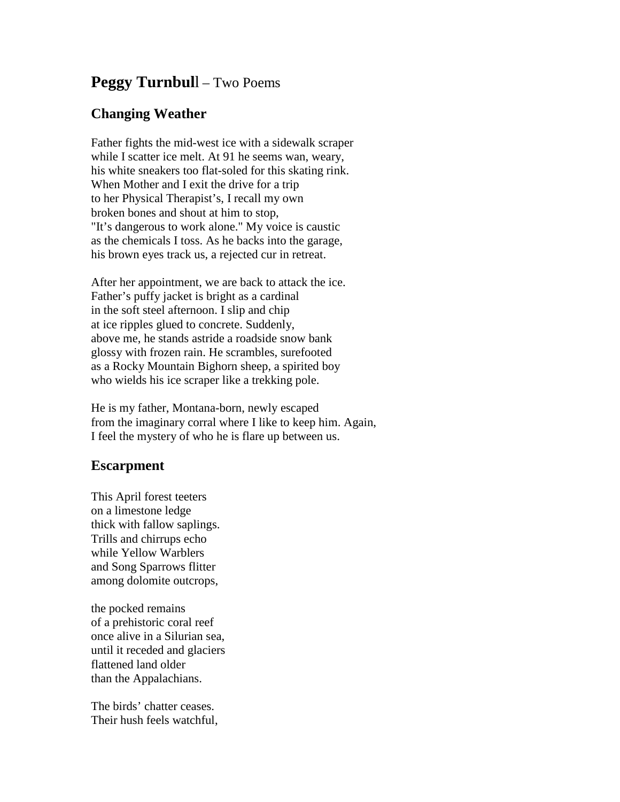## **Peggy Turnbul**l – Two Poems

## **Changing Weather**

Father fights the mid-west ice with a sidewalk scraper while I scatter ice melt. At 91 he seems wan, weary, his white sneakers too flat-soled for this skating rink. When Mother and I exit the drive for a trip to her Physical Therapist's, I recall my own broken bones and shout at him to stop, "It's dangerous to work alone." My voice is caustic as the chemicals I toss. As he backs into the garage, his brown eyes track us, a rejected cur in retreat.

After her appointment, we are back to attack the ice. Father's puffy jacket is bright as a cardinal in the soft steel afternoon. I slip and chip at ice ripples glued to concrete. Suddenly, above me, he stands astride a roadside snow bank glossy with frozen rain. He scrambles, surefooted as a Rocky Mountain Bighorn sheep, a spirited boy who wields his ice scraper like a trekking pole.

He is my father, Montana-born, newly escaped from the imaginary corral where I like to keep him. Again, I feel the mystery of who he is flare up between us.

## **Escarpment**

This April forest teeters on a limestone ledge thick with fallow saplings. Trills and chirrups echo while Yellow Warblers and Song Sparrows flitter among dolomite outcrops,

the pocked remains of a prehistoric coral reef once alive in a Silurian sea, until it receded and glaciers flattened land older than the Appalachians.

The birds' chatter ceases. Their hush feels watchful,